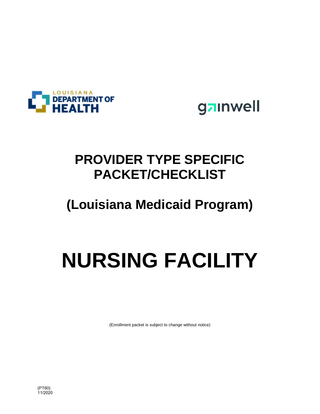



# **PROVIDER TYPE SPECIFIC PACKET/CHECKLIST**

## **(Louisiana Medicaid Program)**

# **NURSING FACILITY**

(Enrollment packet is subject to change without notice)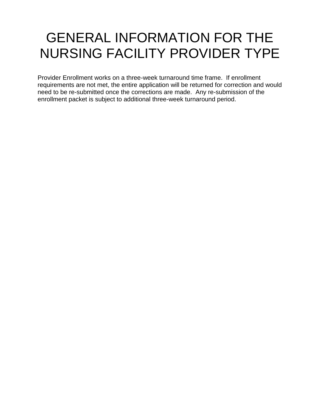# GENERAL INFORMATION FOR THE NURSING FACILITY PROVIDER TYPE

Provider Enrollment works on a three-week turnaround time frame. If enrollment requirements are not met, the entire application will be returned for correction and would need to be re-submitted once the corrections are made. Any re-submission of the enrollment packet is subject to additional three-week turnaround period.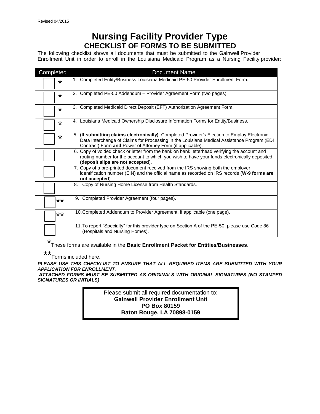## **Nursing Facility Provider Type CHECKLIST OF FORMS TO BE SUBMITTED**

The following checklist shows all documents that must be submitted to the Gainwell Provider Enrollment Unit in order to enroll in the Louisiana Medicaid Program as a Nursing Facility provider:

| Completed | <b>Document Name</b>                                                                                                                                                                                                                                    |
|-----------|---------------------------------------------------------------------------------------------------------------------------------------------------------------------------------------------------------------------------------------------------------|
| $\star$   | 1. Completed Entity/Business Louisiana Medicaid PE-50 Provider Enrollment Form.                                                                                                                                                                         |
| $\star$   | 2. Completed PE-50 Addendum - Provider Agreement Form (two pages).                                                                                                                                                                                      |
| $\star$   | 3. Completed Medicaid Direct Deposit (EFT) Authorization Agreement Form.                                                                                                                                                                                |
| $\star$   | 4. Louisiana Medicaid Ownership Disclosure Information Forms for Entity/Business.                                                                                                                                                                       |
| $\star$   | 5. (If submitting claims electronically) Completed Provider's Election to Employ Electronic<br>Data Interchange of Claims for Processing in the Louisiana Medical Assistance Program (EDI<br>Contract) Form and Power of Attorney Form (if applicable). |
|           | 6. Copy of voided check or letter from the bank on bank letterhead verifying the account and<br>routing number for the account to which you wish to have your funds electronically deposited<br>(deposit slips are not accepted).                       |
|           | 7. Copy of a pre-printed document received from the IRS showing both the employer<br>identification number (EIN) and the official name as recorded on IRS records (W-9 forms are<br>not accepted).                                                      |
|           | 8. Copy of Nursing Home License from Health Standards.                                                                                                                                                                                                  |
| $***$     | 9. Completed Provider Agreement (four pages).                                                                                                                                                                                                           |
| $***$     | 10. Completed Addendum to Provider Agreement, if applicable (one page).                                                                                                                                                                                 |
|           | 11. To report "Specialty" for this provider type on Section A of the PE-50, please use Code 86<br>(Hospitals and Nursing Homes).                                                                                                                        |

\* These forms are available in the **Basic Enrollment Packet for Entities/Businesses**.

 \*\* Forms included here.

*PLEASE USE THIS CHECKLIST TO ENSURE THAT ALL REQUIRED ITEMS ARE SUBMITTED WITH YOUR APPLICATION FOR ENROLLMENT.* 

 *ATTACHED FORMS MUST BE SUBMITTED AS ORIGINALS WITH ORIGINAL SIGNATURES (NO STAMPED SIGNATURES OR INITIALS)* 

> Please submit all required documentation to: **Gainwell Provider Enrollment Unit PO Box 80159 Baton Rouge, LA 70898-0159**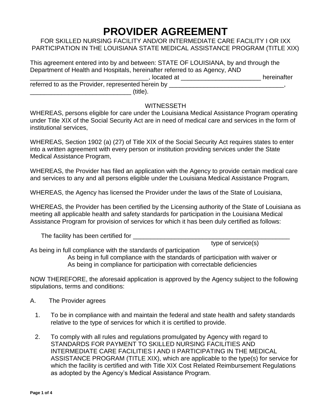## **PROVIDER AGREEMENT**

FOR SKILLED NURSING FACILITY AND/OR INTERMEDIATE CARE FACILITY I OR IXX PARTICIPATION IN THE LOUISIANA STATE MEDICAL ASSISTANCE PROGRAM (TITLE XIX)

This agreement entered into by and between: STATE OF LOUISIANA, by and through the Department of Health and Hospitals, hereinafter referred to as Agency, AND \_\_\_\_\_\_\_\_\_\_\_\_\_\_\_\_\_\_\_\_\_\_\_\_\_\_\_\_\_\_\_\_\_\_, located at \_\_\_\_\_\_\_\_\_\_\_\_\_\_\_\_\_\_\_\_\_\_\_ hereinafter

referred to as the Provider, represented herein by \_\_\_\_\_\_\_\_\_\_\_\_\_\_\_\_\_\_\_\_\_\_\_\_\_\_\_\_\_  $\sim$  (title).

#### **WITNESSETH**

WHEREAS, persons eligible for care under the Louisiana Medical Assistance Program operating under Title XIX of the Social Security Act are in need of medical care and services in the form of institutional services,

WHEREAS, Section 1902 (a) (27) of Title XIX of the Social Security Act requires states to enter into a written agreement with every person or institution providing services under the State Medical Assistance Program,

WHEREAS, the Provider has filed an application with the Agency to provide certain medical care and services to any and all persons eligible under the Louisiana Medical Assistance Program,

WHEREAS, the Agency has licensed the Provider under the laws of the State of Louisiana,

WHEREAS, the Provider has been certified by the Licensing authority of the State of Louisiana as meeting all applicable health and safety standards for participation in the Louisiana Medical Assistance Program for provision of services for which it has been duly certified as follows:

The facility has been certified for \_\_\_\_\_\_\_\_\_\_\_\_\_\_\_\_\_\_\_\_\_\_\_\_\_\_\_\_\_\_\_\_\_\_\_\_\_\_\_\_\_\_\_\_\_

type of service(s)

As being in full compliance with the standards of participation As being in full compliance with the standards of participation with waiver or As being in compliance for participation with correctable deficiencies

NOW THEREFORE, the aforesaid application is approved by the Agency subject to the following stipulations, terms and conditions:

- A. The Provider agrees
	- 1. To be in compliance with and maintain the federal and state health and safety standards relative to the type of services for which it is certified to provide.
	- 2. To comply with all rules and regulations promulgated by Agency with regard to STANDARDS FOR PAYMENT TO SKILLED NURSING FACILITIES AND INTERMEDIATE CARE FACILITIES I AND II PARTICIPATING IN THE MEDICAL ASSISTANCE PROGRAM (TITLE XIX), which are applicable to the type(s) for service for which the facility is certified and with Title XIX Cost Related Reimbursement Regulations as adopted by the Agency's Medical Assistance Program.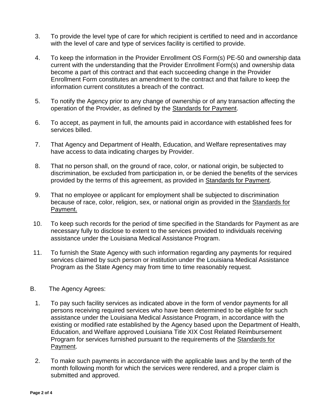- 3. To provide the level type of care for which recipient is certified to need and in accordance with the level of care and type of services facility is certified to provide.
- 4. To keep the information in the Provider Enrollment OS Form(s) PE-50 and ownership data current with the understanding that the Provider Enrollment Form(s) and ownership data become a part of this contract and that each succeeding change in the Provider Enrollment Form constitutes an amendment to the contract and that failure to keep the information current constitutes a breach of the contract.
- 5. To notify the Agency prior to any change of ownership or of any transaction affecting the operation of the Provider, as defined by the Standards for Payment.
- 6. To accept, as payment in full, the amounts paid in accordance with established fees for services billed.
- 7. That Agency and Department of Health, Education, and Welfare representatives may have access to data indicating charges by Provider.
- 8. That no person shall, on the ground of race, color, or national origin, be subjected to discrimination, be excluded from participation in, or be denied the benefits of the services provided by the terms of this agreement, as provided in Standards for Payment.
- 9. That no employee or applicant for employment shall be subjected to discrimination because of race, color, religion, sex, or national origin as provided in the Standards for Payment.
- 10. To keep such records for the period of time specified in the Standards for Payment as are necessary fully to disclose to extent to the services provided to individuals receiving assistance under the Louisiana Medical Assistance Program.
- 11. To furnish the State Agency with such information regarding any payments for required services claimed by such person or institution under the Louisiana Medical Assistance Program as the State Agency may from time to time reasonably request.
- B. The Agency Agrees:
	- 1. To pay such facility services as indicated above in the form of vendor payments for all persons receiving required services who have been determined to be eligible for such assistance under the Louisiana Medical Assistance Program, in accordance with the existing or modified rate established by the Agency based upon the Department of Health, Education, and Welfare approved Louisiana Title XIX Cost Related Reimbursement Program for services furnished pursuant to the requirements of the Standards for Payment.
	- 2. To make such payments in accordance with the applicable laws and by the tenth of the month following month for which the services were rendered, and a proper claim is submitted and approved.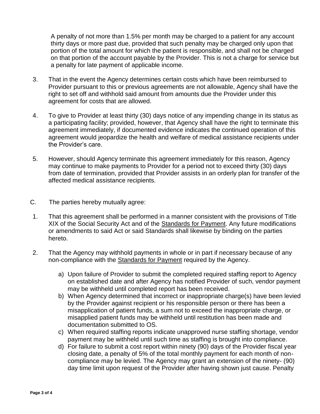A penalty of not more than 1.5% per month may be charged to a patient for any account thirty days or more past due, provided that such penalty may be charged only upon that portion of the total amount for which the patient is responsible, and shall not be charged on that portion of the account payable by the Provider. This is not a charge for service but a penalty for late payment of applicable income.

- 3. That in the event the Agency determines certain costs which have been reimbursed to Provider pursuant to this or previous agreements are not allowable, Agency shall have the right to set off and withhold said amount from amounts due the Provider under this agreement for costs that are allowed.
- 4. To give to Provider at least thirty (30) days notice of any impending change in its status as a participating facility; provided, however, that Agency shall have the right to terminate this agreement immediately, if documented evidence indicates the continued operation of this agreement would jeopardize the health and welfare of medical assistance recipients under the Provider's care.
- 5. However, should Agency terminate this agreement immediately for this reason, Agency may continue to make payments to Provider for a period not to exceed thirty (30) days from date of termination, provided that Provider assists in an orderly plan for transfer of the affected medical assistance recipients.
- C. The parties hereby mutually agree:
- 1. That this agreement shall be performed in a manner consistent with the provisions of Title XIX of the Social Security Act and of the Standards for Payment. Any future modifications or amendments to said Act or said Standards shall likewise by binding on the parties hereto.
- 2. That the Agency may withhold payments in whole or in part if necessary because of any non-compliance with the Standards for Payment required by the Agency.
	- a) Upon failure of Provider to submit the completed required staffing report to Agency on established date and after Agency has notified Provider of such, vendor payment may be withheld until completed report has been received.
	- b) When Agency determined that incorrect or inappropriate charge(s) have been levied by the Provider against recipient or his responsible person or there has been a misapplication of patient funds, a sum not to exceed the inappropriate charge, or misapplied patient funds may be withheld until restitution has been made and documentation submitted to OS.
	- c) When required staffing reports indicate unapproved nurse staffing shortage, vendor payment may be withheld until such time as staffing is brought into compliance.
	- d) For failure to submit a cost report within ninety (90) days of the Provider fiscal year closing date, a penalty of 5% of the total monthly payment for each month of noncompliance may be levied. The Agency may grant an extension of the ninety- (90) day time limit upon request of the Provider after having shown just cause. Penalty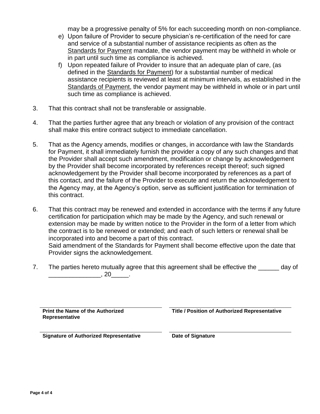may be a progressive penalty of 5% for each succeeding month on non-compliance.

- e) Upon failure of Provider to secure physician's re-certification of the need for care and service of a substantial number of assistance recipients as often as the Standards for Payment mandate, the vendor payment may be withheld in whole or in part until such time as compliance is achieved.
- f) Upon repeated failure of Provider to insure that an adequate plan of care, (as defined in the Standards for Payment) for a substantial number of medical assistance recipients is reviewed at least at minimum intervals, as established in the Standards of Payment, the vendor payment may be withheld in whole or in part until such time as compliance is achieved.
- 3. That this contract shall not be transferable or assignable.
- 4. That the parties further agree that any breach or violation of any provision of the contract shall make this entire contract subject to immediate cancellation.
- 5. That as the Agency amends, modifies or changes, in accordance with law the Standards for Payment, it shall immediately furnish the provider a copy of any such changes and that the Provider shall accept such amendment, modification or change by acknowledgement by the Provider shall become incorporated by references receipt thereof; such signed acknowledgement by the Provider shall become incorporated by references as a part of this contact, and the failure of the Provider to execute and return the acknowledgement to the Agency may, at the Agency's option, serve as sufficient justification for termination of this contract.
- 6. That this contract may be renewed and extended in accordance with the terms if any future certification for participation which may be made by the Agency, and such renewal or extension may be made by written notice to the Provider in the form of a letter from which the contract is to be renewed or extended; and each of such letters or renewal shall be incorporated into and become a part of this contract. Said amendment of the Standards for Payment shall become effective upon the date that Provider signs the acknowledgement.
- 7. The parties hereto mutually agree that this agreement shall be effective the \_\_\_\_\_\_ day of  $\overline{\phantom{a}}$ , 20 $\overline{\phantom{a}}$ .

**Print the Name of the Authorized Representative**

**Title / Position of Authorized Representative**

**Signature of Authorized Representative Date of Signature**